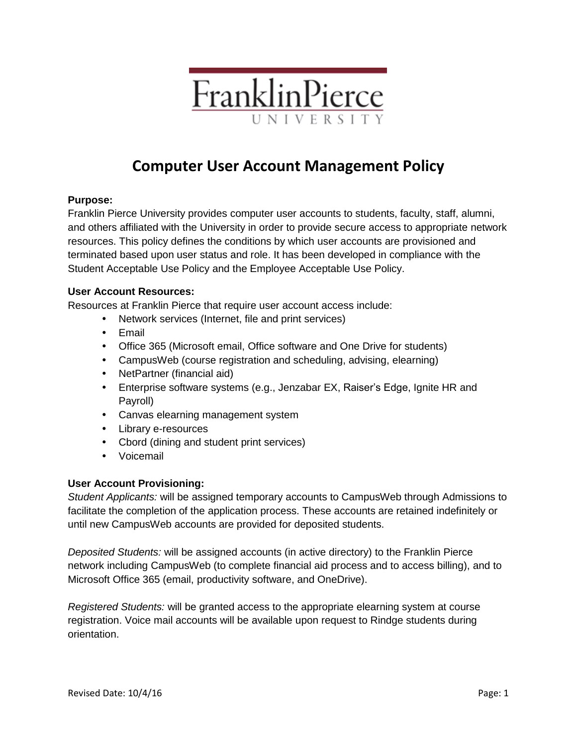

# **Computer User Account Management Policy**

## **Purpose:**

Franklin Pierce University provides computer user accounts to students, faculty, staff, alumni, and others affiliated with the University in order to provide secure access to appropriate network resources. This policy defines the conditions by which user accounts are provisioned and terminated based upon user status and role. It has been developed in compliance with the Student Acceptable Use Policy and the Employee Acceptable Use Policy.

### **User Account Resources:**

Resources at Franklin Pierce that require user account access include:

- Network services (Internet, file and print services)
- Email
- Office 365 (Microsoft email, Office software and One Drive for students)
- CampusWeb (course registration and scheduling, advising, elearning)
- NetPartner (financial aid)
- Enterprise software systems (e.g., Jenzabar EX, Raiser's Edge, Ignite HR and Payroll)
- Canvas elearning management system
- Library e-resources
- Cbord (dining and student print services)
- Voicemail

### **User Account Provisioning:**

*Student Applicants:* will be assigned temporary accounts to CampusWeb through Admissions to facilitate the completion of the application process. These accounts are retained indefinitely or until new CampusWeb accounts are provided for deposited students.

*Deposited Students:* will be assigned accounts (in active directory) to the Franklin Pierce network including CampusWeb (to complete financial aid process and to access billing), and to Microsoft Office 365 (email, productivity software, and OneDrive).

*Registered Students:* will be granted access to the appropriate elearning system at course registration. Voice mail accounts will be available upon request to Rindge students during orientation.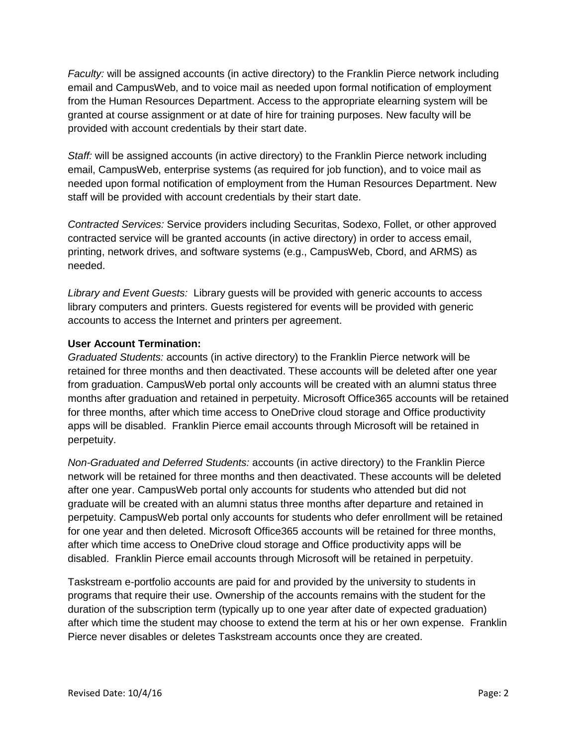*Faculty:* will be assigned accounts (in active directory) to the Franklin Pierce network including email and CampusWeb, and to voice mail as needed upon formal notification of employment from the Human Resources Department. Access to the appropriate elearning system will be granted at course assignment or at date of hire for training purposes. New faculty will be provided with account credentials by their start date.

*Staff:* will be assigned accounts (in active directory) to the Franklin Pierce network including email, CampusWeb, enterprise systems (as required for job function), and to voice mail as needed upon formal notification of employment from the Human Resources Department. New staff will be provided with account credentials by their start date.

*Contracted Services:* Service providers including Securitas, Sodexo, Follet, or other approved contracted service will be granted accounts (in active directory) in order to access email, printing, network drives, and software systems (e.g., CampusWeb, Cbord, and ARMS) as needed.

*Library and Event Guests:* Library guests will be provided with generic accounts to access library computers and printers. Guests registered for events will be provided with generic accounts to access the Internet and printers per agreement.

### **User Account Termination:**

*Graduated Students:* accounts (in active directory) to the Franklin Pierce network will be retained for three months and then deactivated. These accounts will be deleted after one year from graduation. CampusWeb portal only accounts will be created with an alumni status three months after graduation and retained in perpetuity. Microsoft Office365 accounts will be retained for three months, after which time access to OneDrive cloud storage and Office productivity apps will be disabled. Franklin Pierce email accounts through Microsoft will be retained in perpetuity.

*Non-Graduated and Deferred Students:* accounts (in active directory) to the Franklin Pierce network will be retained for three months and then deactivated. These accounts will be deleted after one year. CampusWeb portal only accounts for students who attended but did not graduate will be created with an alumni status three months after departure and retained in perpetuity. CampusWeb portal only accounts for students who defer enrollment will be retained for one year and then deleted. Microsoft Office365 accounts will be retained for three months, after which time access to OneDrive cloud storage and Office productivity apps will be disabled. Franklin Pierce email accounts through Microsoft will be retained in perpetuity.

Taskstream e-portfolio accounts are paid for and provided by the university to students in programs that require their use. Ownership of the accounts remains with the student for the duration of the subscription term (typically up to one year after date of expected graduation) after which time the student may choose to extend the term at his or her own expense. Franklin Pierce never disables or deletes Taskstream accounts once they are created.